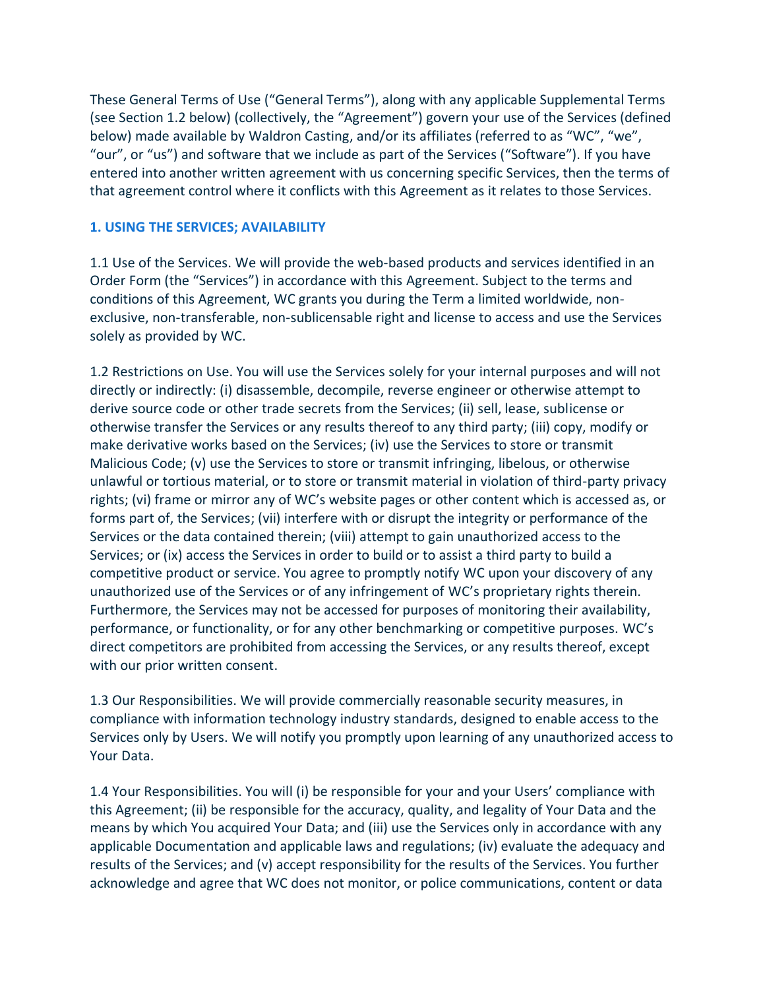These General Terms of Use ("General Terms"), along with any applicable Supplemental Terms (see Section 1.2 below) (collectively, the "Agreement") govern your use of the Services (defined below) made available by Waldron Casting, and/or its affiliates (referred to as "WC", "we", "our", or "us") and software that we include as part of the Services ("Software"). If you have entered into another written agreement with us concerning specific Services, then the terms of that agreement control where it conflicts with this Agreement as it relates to those Services.

#### **1. USING THE SERVICES; AVAILABILITY**

1.1 Use of the Services. We will provide the web-based products and services identified in an Order Form (the "Services") in accordance with this Agreement. Subject to the terms and conditions of this Agreement, WC grants you during the Term a limited worldwide, nonexclusive, non-transferable, non-sublicensable right and license to access and use the Services solely as provided by WC.

1.2 Restrictions on Use. You will use the Services solely for your internal purposes and will not directly or indirectly: (i) disassemble, decompile, reverse engineer or otherwise attempt to derive source code or other trade secrets from the Services; (ii) sell, lease, sublicense or otherwise transfer the Services or any results thereof to any third party; (iii) copy, modify or make derivative works based on the Services; (iv) use the Services to store or transmit Malicious Code; (v) use the Services to store or transmit infringing, libelous, or otherwise unlawful or tortious material, or to store or transmit material in violation of third-party privacy rights; (vi) frame or mirror any of WC's website pages or other content which is accessed as, or forms part of, the Services; (vii) interfere with or disrupt the integrity or performance of the Services or the data contained therein; (viii) attempt to gain unauthorized access to the Services; or (ix) access the Services in order to build or to assist a third party to build a competitive product or service. You agree to promptly notify WC upon your discovery of any unauthorized use of the Services or of any infringement of WC's proprietary rights therein. Furthermore, the Services may not be accessed for purposes of monitoring their availability, performance, or functionality, or for any other benchmarking or competitive purposes. WC's direct competitors are prohibited from accessing the Services, or any results thereof, except with our prior written consent.

1.3 Our Responsibilities. We will provide commercially reasonable security measures, in compliance with information technology industry standards, designed to enable access to the Services only by Users. We will notify you promptly upon learning of any unauthorized access to Your Data.

1.4 Your Responsibilities. You will (i) be responsible for your and your Users' compliance with this Agreement; (ii) be responsible for the accuracy, quality, and legality of Your Data and the means by which You acquired Your Data; and (iii) use the Services only in accordance with any applicable Documentation and applicable laws and regulations; (iv) evaluate the adequacy and results of the Services; and (v) accept responsibility for the results of the Services. You further acknowledge and agree that WC does not monitor, or police communications, content or data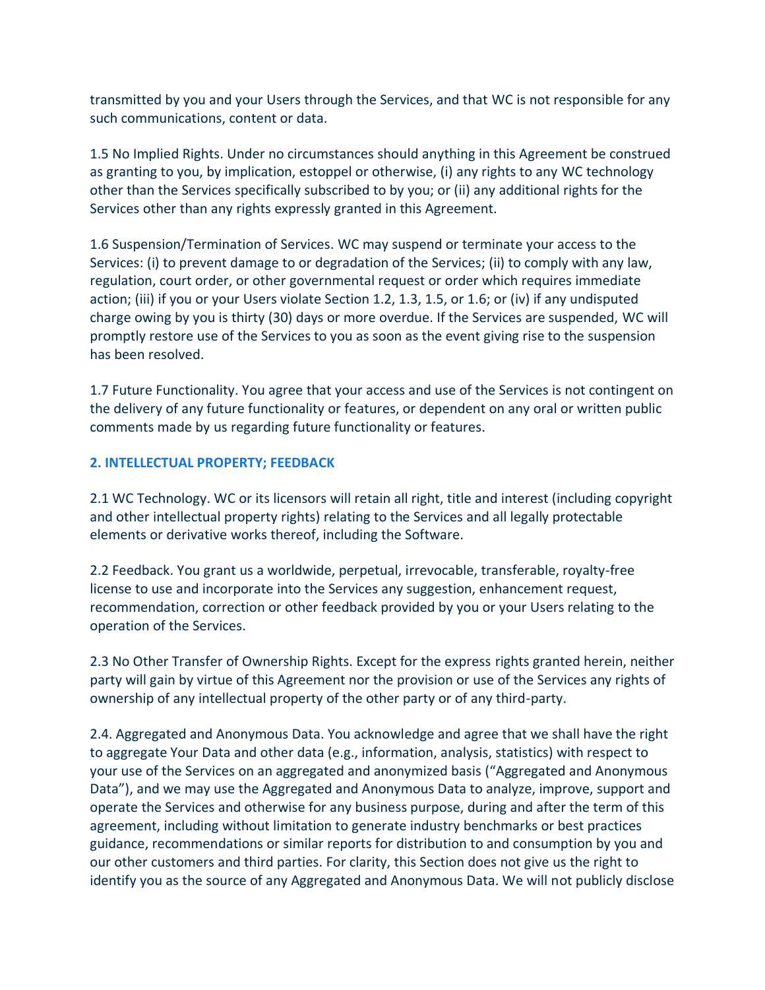transmitted by you and your Users through the Services, and that WC is not responsible for any such communications, content or data.

1.5 No Implied Rights. Under no circumstances should anything in this Agreement be construed as granting to you, by implication, estoppel or otherwise, (i) any rights to any WC technology other than the Services specifically subscribed to by you; or (ii) any additional rights for the Services other than any rights expressly granted in this Agreement.

1.6 Suspension/Termination of Services. WC may suspend or terminate your access to the Services: (i) to prevent damage to or degradation of the Services; (ii) to comply with any law, regulation, court order, or other governmental request or order which requires immediate action; (iii) if you or your Users violate Section 1.2, 1.3, 1.5, or 1.6; or (iv) if any undisputed charge owing by you is thirty (30) days or more overdue. If the Services are suspended, WC will promptly restore use of the Services to you as soon as the event giving rise to the suspension has been resolved.

1.7 Future Functionality. You agree that your access and use of the Services is not contingent on the delivery of any future functionality or features, or dependent on any oral or written public comments made by us regarding future functionality or features.

## **2. INTELLECTUAL PROPERTY; FEEDBACK**

2.1 WC Technology. WC or its licensors will retain all right, title and interest (including copyright and other intellectual property rights) relating to the Services and all legally protectable elements or derivative works thereof, including the Software.

2.2 Feedback. You grant us a worldwide, perpetual, irrevocable, transferable, royalty-free license to use and incorporate into the Services any suggestion, enhancement request, recommendation, correction or other feedback provided by you or your Users relating to the operation of the Services.

2.3 No Other Transfer of Ownership Rights. Except for the express rights granted herein, neither party will gain by virtue of this Agreement nor the provision or use of the Services any rights of ownership of any intellectual property of the other party or of any third-party.

2.4. Aggregated and Anonymous Data. You acknowledge and agree that we shall have the right to aggregate Your Data and other data (e.g., information, analysis, statistics) with respect to your use of the Services on an aggregated and anonymized basis ("Aggregated and Anonymous Data"), and we may use the Aggregated and Anonymous Data to analyze, improve, support and operate the Services and otherwise for any business purpose, during and after the term of this agreement, including without limitation to generate industry benchmarks or best practices guidance, recommendations or similar reports for distribution to and consumption by you and our other customers and third parties. For clarity, this Section does not give us the right to identify you as the source of any Aggregated and Anonymous Data. We will not publicly disclose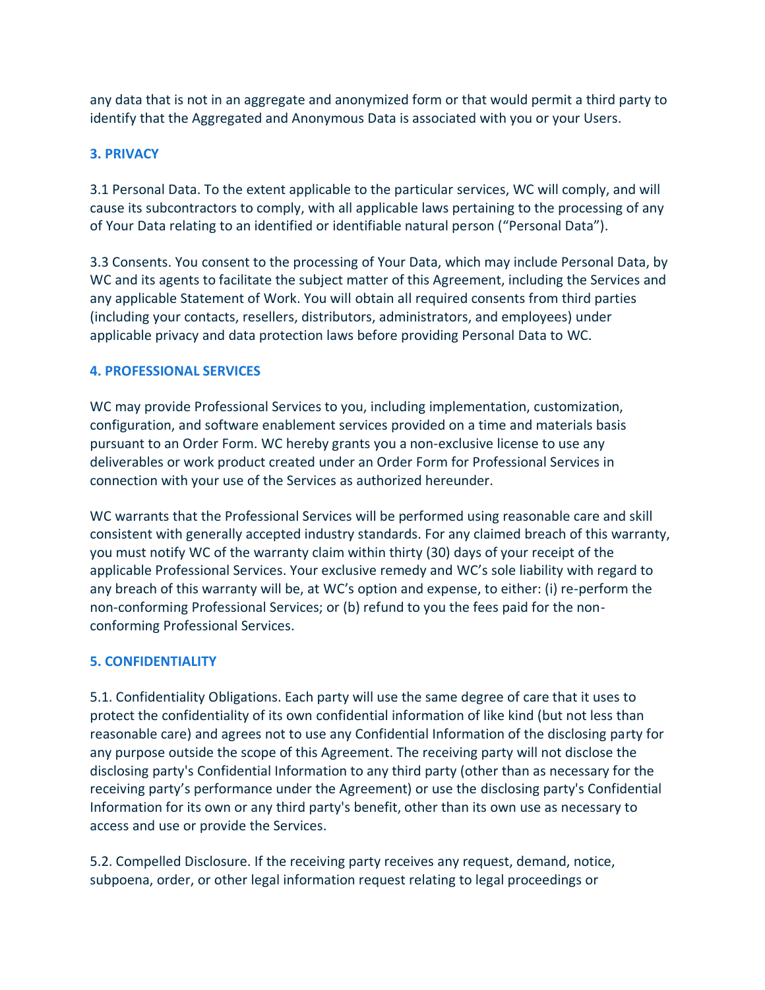any data that is not in an aggregate and anonymized form or that would permit a third party to identify that the Aggregated and Anonymous Data is associated with you or your Users.

# **3. PRIVACY**

3.1 Personal Data. To the extent applicable to the particular services, WC will comply, and will cause its subcontractors to comply, with all applicable laws pertaining to the processing of any of Your Data relating to an identified or identifiable natural person ("Personal Data").

3.3 Consents. You consent to the processing of Your Data, which may include Personal Data, by WC and its agents to facilitate the subject matter of this Agreement, including the Services and any applicable Statement of Work. You will obtain all required consents from third parties (including your contacts, resellers, distributors, administrators, and employees) under applicable privacy and data protection laws before providing Personal Data to WC.

## **4. PROFESSIONAL SERVICES**

WC may provide Professional Services to you, including implementation, customization, configuration, and software enablement services provided on a time and materials basis pursuant to an Order Form. WC hereby grants you a non-exclusive license to use any deliverables or work product created under an Order Form for Professional Services in connection with your use of the Services as authorized hereunder.

WC warrants that the Professional Services will be performed using reasonable care and skill consistent with generally accepted industry standards. For any claimed breach of this warranty, you must notify WC of the warranty claim within thirty (30) days of your receipt of the applicable Professional Services. Your exclusive remedy and WC's sole liability with regard to any breach of this warranty will be, at WC's option and expense, to either: (i) re-perform the non-conforming Professional Services; or (b) refund to you the fees paid for the nonconforming Professional Services.

# **5. CONFIDENTIALITY**

5.1. Confidentiality Obligations. Each party will use the same degree of care that it uses to protect the confidentiality of its own confidential information of like kind (but not less than reasonable care) and agrees not to use any Confidential Information of the disclosing party for any purpose outside the scope of this Agreement. The receiving party will not disclose the disclosing party's Confidential Information to any third party (other than as necessary for the receiving party's performance under the Agreement) or use the disclosing party's Confidential Information for its own or any third party's benefit, other than its own use as necessary to access and use or provide the Services.

5.2. Compelled Disclosure. If the receiving party receives any request, demand, notice, subpoena, order, or other legal information request relating to legal proceedings or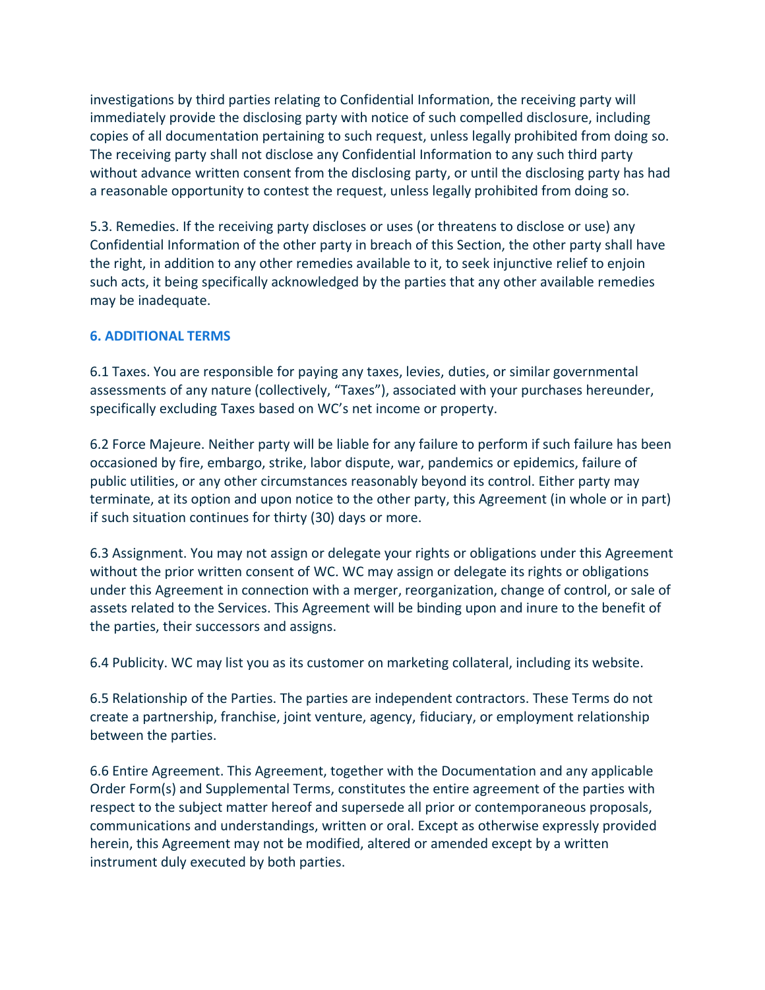investigations by third parties relating to Confidential Information, the receiving party will immediately provide the disclosing party with notice of such compelled disclosure, including copies of all documentation pertaining to such request, unless legally prohibited from doing so. The receiving party shall not disclose any Confidential Information to any such third party without advance written consent from the disclosing party, or until the disclosing party has had a reasonable opportunity to contest the request, unless legally prohibited from doing so.

5.3. Remedies. If the receiving party discloses or uses (or threatens to disclose or use) any Confidential Information of the other party in breach of this Section, the other party shall have the right, in addition to any other remedies available to it, to seek injunctive relief to enjoin such acts, it being specifically acknowledged by the parties that any other available remedies may be inadequate.

### **6. ADDITIONAL TERMS**

6.1 Taxes. You are responsible for paying any taxes, levies, duties, or similar governmental assessments of any nature (collectively, "Taxes"), associated with your purchases hereunder, specifically excluding Taxes based on WC's net income or property.

6.2 Force Majeure. Neither party will be liable for any failure to perform if such failure has been occasioned by fire, embargo, strike, labor dispute, war, pandemics or epidemics, failure of public utilities, or any other circumstances reasonably beyond its control. Either party may terminate, at its option and upon notice to the other party, this Agreement (in whole or in part) if such situation continues for thirty (30) days or more.

6.3 Assignment. You may not assign or delegate your rights or obligations under this Agreement without the prior written consent of WC. WC may assign or delegate its rights or obligations under this Agreement in connection with a merger, reorganization, change of control, or sale of assets related to the Services. This Agreement will be binding upon and inure to the benefit of the parties, their successors and assigns.

6.4 Publicity. WC may list you as its customer on marketing collateral, including its website.

6.5 Relationship of the Parties. The parties are independent contractors. These Terms do not create a partnership, franchise, joint venture, agency, fiduciary, or employment relationship between the parties.

6.6 Entire Agreement. This Agreement, together with the Documentation and any applicable Order Form(s) and Supplemental Terms, constitutes the entire agreement of the parties with respect to the subject matter hereof and supersede all prior or contemporaneous proposals, communications and understandings, written or oral. Except as otherwise expressly provided herein, this Agreement may not be modified, altered or amended except by a written instrument duly executed by both parties.